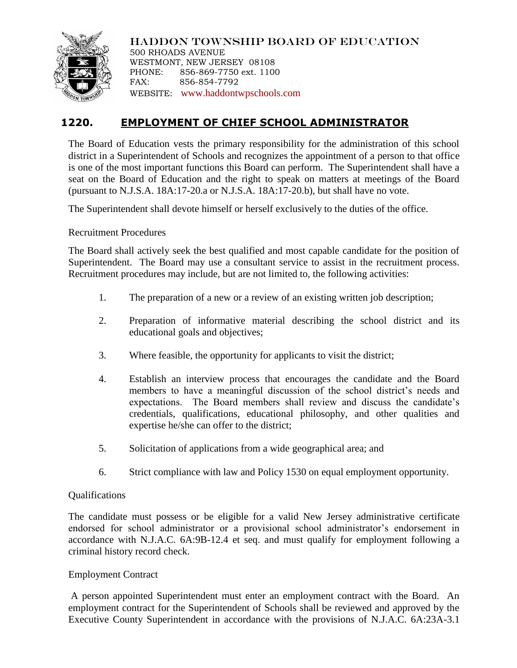

HADDON TOWNSHIP BOARD OF EDUCATION 500 RHOADS AVENUE WESTMONT, NEW JERSEY 08108 PHONE: 856-869-7750 ext. 1100 FAX: 856-854-7792 WEBSITE: [www.haddontwpschools.com](http://www.haddontwpschools.com/)

# **1220. EMPLOYMENT OF CHIEF SCHOOL ADMINISTRATOR**

The Board of Education vests the primary responsibility for the administration of this school district in a Superintendent of Schools and recognizes the appointment of a person to that office is one of the most important functions this Board can perform. The Superintendent shall have a seat on the Board of Education and the right to speak on matters at meetings of the Board (pursuant to N.J.S.A. 18A:17-20.a or N.J.S.A. 18A:17-20.b), but shall have no vote.

The Superintendent shall devote himself or herself exclusively to the duties of the office.

## Recruitment Procedures

The Board shall actively seek the best qualified and most capable candidate for the position of Superintendent. The Board may use a consultant service to assist in the recruitment process. Recruitment procedures may include, but are not limited to, the following activities:

- 1. The preparation of a new or a review of an existing written job description;
- 2. Preparation of informative material describing the school district and its educational goals and objectives;
- 3. Where feasible, the opportunity for applicants to visit the district;
- 4. Establish an interview process that encourages the candidate and the Board members to have a meaningful discussion of the school district's needs and expectations. The Board members shall review and discuss the candidate's credentials, qualifications, educational philosophy, and other qualities and expertise he/she can offer to the district;
- 5. Solicitation of applications from a wide geographical area; and
- 6. Strict compliance with law and Policy 1530 on equal employment opportunity.

## Qualifications

The candidate must possess or be eligible for a valid New Jersey administrative certificate endorsed for school administrator or a provisional school administrator's endorsement in accordance with N.J.A.C. 6A:9B-12.4 et seq. and must qualify for employment following a criminal history record check.

## Employment Contract

A person appointed Superintendent must enter an employment contract with the Board. An employment contract for the Superintendent of Schools shall be reviewed and approved by the Executive County Superintendent in accordance with the provisions of N.J.A.C. 6A:23A-3.1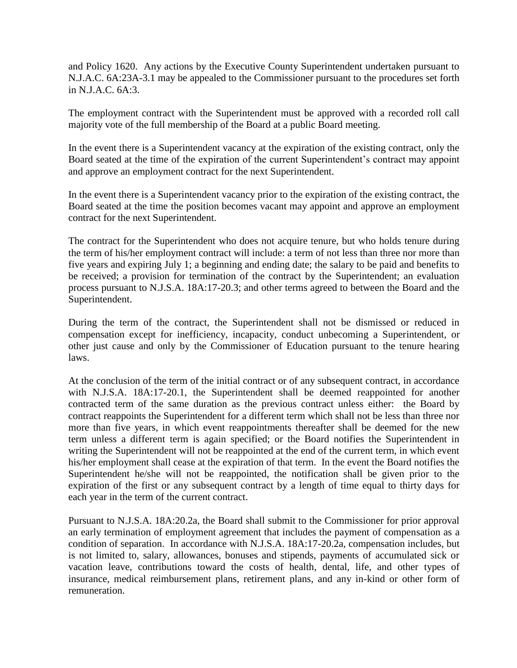and Policy 1620. Any actions by the Executive County Superintendent undertaken pursuant to N.J.A.C. 6A:23A-3.1 may be appealed to the Commissioner pursuant to the procedures set forth in N.J.A.C. 6A:3.

The employment contract with the Superintendent must be approved with a recorded roll call majority vote of the full membership of the Board at a public Board meeting.

In the event there is a Superintendent vacancy at the expiration of the existing contract, only the Board seated at the time of the expiration of the current Superintendent's contract may appoint and approve an employment contract for the next Superintendent.

In the event there is a Superintendent vacancy prior to the expiration of the existing contract, the Board seated at the time the position becomes vacant may appoint and approve an employment contract for the next Superintendent.

The contract for the Superintendent who does not acquire tenure, but who holds tenure during the term of his/her employment contract will include: a term of not less than three nor more than five years and expiring July 1; a beginning and ending date; the salary to be paid and benefits to be received; a provision for termination of the contract by the Superintendent; an evaluation process pursuant to N.J.S.A. 18A:17-20.3; and other terms agreed to between the Board and the Superintendent.

During the term of the contract, the Superintendent shall not be dismissed or reduced in compensation except for inefficiency, incapacity, conduct unbecoming a Superintendent, or other just cause and only by the Commissioner of Education pursuant to the tenure hearing laws.

At the conclusion of the term of the initial contract or of any subsequent contract, in accordance with N.J.S.A. 18A:17-20.1, the Superintendent shall be deemed reappointed for another contracted term of the same duration as the previous contract unless either: the Board by contract reappoints the Superintendent for a different term which shall not be less than three nor more than five years, in which event reappointments thereafter shall be deemed for the new term unless a different term is again specified; or the Board notifies the Superintendent in writing the Superintendent will not be reappointed at the end of the current term, in which event his/her employment shall cease at the expiration of that term. In the event the Board notifies the Superintendent he/she will not be reappointed, the notification shall be given prior to the expiration of the first or any subsequent contract by a length of time equal to thirty days for each year in the term of the current contract.

Pursuant to N.J.S.A. 18A:20.2a, the Board shall submit to the Commissioner for prior approval an early termination of employment agreement that includes the payment of compensation as a condition of separation. In accordance with N.J.S.A. 18A:17-20.2a, compensation includes, but is not limited to, salary, allowances, bonuses and stipends, payments of accumulated sick or vacation leave, contributions toward the costs of health, dental, life, and other types of insurance, medical reimbursement plans, retirement plans, and any in-kind or other form of remuneration.